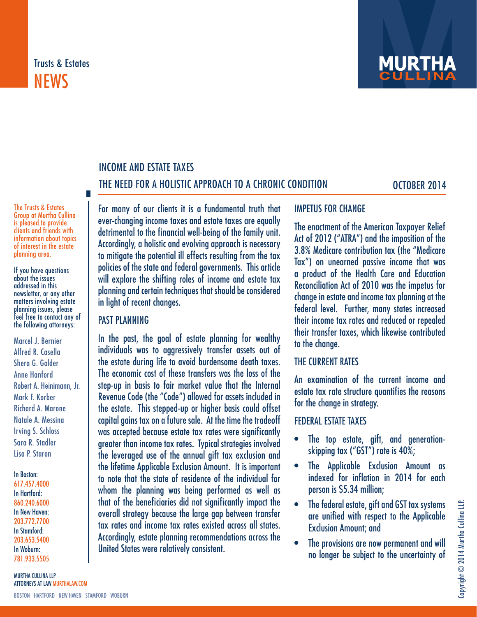# Trusts & Estates **NEWS**



# INCOME AND ESTATE TAXES THE NEED FOR A HOLISTIC APPROACH TO A CHRONIC CONDITION OCTOBER 2014

The Trusts & Estates Group at Murtha Cullina is pleased to provide clients and friends with information about topics of interest in the estate planning area.

If you have questions about the issues addressed in this newsletter, or any other matters involving estate planning issues, please feel free to contact any of the following attorneys:

Marcel J. Bernier Alfred R. Casella Shera G. Golder Anne Hanford Robert A. Heinimann, Jr. Mark F. Korber Richard A. Marone Natale A. Messina Irving S. Schloss Sara R. Stadler Lisa P. Staron

In Boston:

617.457.4000 In Hartford: 860.240.6000 In New Haven: 203.772.7700 In Stamford: 203.653.5400 In Woburn: 781.933.5505

For many of our clients it is a fundamental truth that ever-changing income taxes and estate taxes are equally detrimental to the financial well-being of the family unit. Accordingly, a holistic and evolving approach is necessary to mitigate the potential ill effects resulting from the tax policies of the state and federal governments. This article will explore the shifting roles of income and estate tax planning and certain techniques that should be considered in light of recent changes.

#### PAST PLANNING

In the past, the goal of estate planning for wealthy individuals was to aggressively transfer assets out of the estate during life to avoid burdensome death taxes. The economic cost of these transfers was the loss of the step-up in basis to fair market value that the Internal Revenue Code (the "Code") allowed for assets included in the estate. This stepped-up or higher basis could offset capital gains tax on a future sale. At the time the tradeoff was accepted because estate tax rates were significantly greater than income tax rates. Typical strategies involved the leveraged use of the annual gift tax exclusion and the lifetime Applicable Exclusion Amount. It is important to note that the state of residence of the individual for whom the planning was being performed as well as that of the beneficiaries did not significantly impact the overall strategy because the large gap between transfer tax rates and income tax rates existed across all states. Accordingly, estate planning recommendations across the United States were relatively consistent.

# IMPETUS FOR CHANGE

The enactment of the American Taxpayer Relief Act of 2012 ("ATRA") and the imposition of the 3.8% Medicare contribution tax (the "Medicare Tax") on unearned passive income that was a product of the Health Care and Education Reconciliation Act of 2010 was the impetus for change in estate and income tax planning at the federal level. Further, many states increased their income tax rates and reduced or repealed their transfer taxes, which likewise contributed to the change.

#### THE CURRENT RATES

An examination of the current income and estate tax rate structure quantifies the reasons for the change in strategy.

## FEDERAL ESTATE TAXES

- The top estate, gift, and generationskipping tax ("GST") rate is 40%;
- The Applicable Exclusion Amount as indexed for inflation in 2014 for each person is \$5.34 million;
- The federal estate, gift and GST tax systems are unified with respect to the Applicable Exclusion Amount; and
- The provisions are now permanent and will no longer be subject to the uncertainty of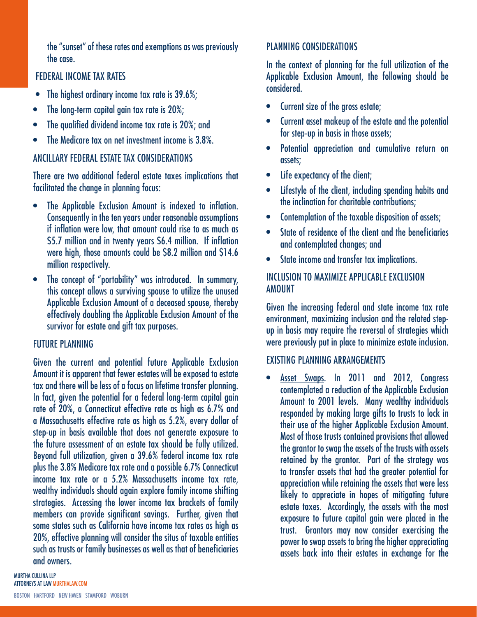the "sunset" of these rates and exemptions as was previously the case.

## FEDERAL INCOME TAX RATES

- The highest ordinary income tax rate is 39.6%;
- The long-term capital gain tax rate is 20%;
- The qualified dividend income tax rate is 20%; and
- The Medicare tax on net investment income is 3.8%.

## ANCILLARY FEDERAL ESTATE TAX CONSIDERATIONS

There are two additional federal estate taxes implications that facilitated the change in planning focus:

- The Applicable Exclusion Amount is indexed to inflation. Consequently in the ten years under reasonable assumptions if inflation were low, that amount could rise to as much as \$5.7 million and in twenty years \$6.4 million. If inflation were high, those amounts could be \$8.2 million and \$14.6 million respectively.
- The concept of "portability" was introduced. In summary, this concept allows a surviving spouse to utilize the unused Applicable Exclusion Amount of a deceased spouse, thereby effectively doubling the Applicable Exclusion Amount of the survivor for estate and gift tax purposes.

## FUTURE PLANNING

Given the current and potential future Applicable Exclusion Amount it is apparent that fewer estates will be exposed to estate tax and there will be less of a focus on lifetime transfer planning. In fact, given the potential for a federal long-term capital gain rate of 20%, a Connecticut effective rate as high as 6.7% and a Massachusetts effective rate as high as 5.2%, every dollar of step-up in basis available that does not generate exposure to the future assessment of an estate tax should be fully utilized. Beyond full utilization, given a 39.6% federal income tax rate plus the 3.8% Medicare tax rate and a possible 6.7% Connecticut income tax rate or a 5.2% Massachusetts income tax rate, wealthy individuals should again explore family income shifting strategies. Accessing the lower income tax brackets of family members can provide significant savings. Further, given that some states such as California have income tax rates as high as 20%, effective planning will consider the situs of taxable entities such as trusts or family businesses as well as that of beneficiaries and owners.

## PLANNING CONSIDERATIONS

In the context of planning for the full utilization of the Applicable Exclusion Amount, the following should be considered.

- Current size of the gross estate;
- Current asset makeup of the estate and the potential for step-up in basis in those assets;
- Potential appreciation and cumulative return on assets;
- Life expectancy of the client;
- Lifestyle of the client, including spending habits and the inclination for charitable contributions;
- Contemplation of the taxable disposition of assets;
- State of residence of the client and the beneficiaries and contemplated changes; and
- State income and transfer tax implications.

## INCLUSION TO MAXIMIZE APPLICABLE EXCLUSION **AMOUNT**

Given the increasing federal and state income tax rate environment, maximizing inclusion and the related stepup in basis may require the reversal of strategies which were previously put in place to minimize estate inclusion.

# EXISTING PLANNING ARRANGEMENTS

• Asset Swaps. In 2011 and 2012, Congress contemplated a reduction of the Applicable Exclusion Amount to 2001 levels. Many wealthy individuals responded by making large gifts to trusts to lock in their use of the higher Applicable Exclusion Amount. Most of those trusts contained provisions that allowed the grantor to swap the assets of the trusts with assets retained by the grantor. Part of the strategy was to transfer assets that had the greater potential for appreciation while retaining the assets that were less likely to appreciate in hopes of mitigating future estate taxes. Accordingly, the assets with the most exposure to future capital gain were placed in the trust. Grantors may now consider exercising the power to swap assets to bring the higher appreciating assets back into their estates in exchange for the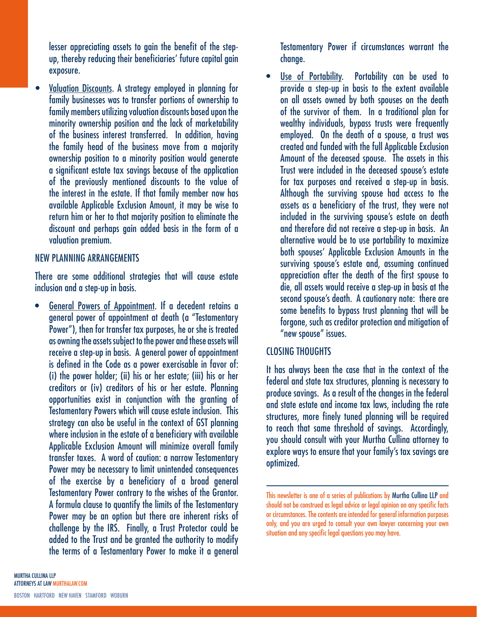lesser appreciating assets to gain the benefit of the stepup, thereby reducing their beneficiaries' future capital gain exposure.

• Valuation Discounts. A strategy employed in planning for family businesses was to transfer portions of ownership to family members utilizing valuation discounts based upon the minority ownership position and the lack of marketability of the business interest transferred. In addition, having the family head of the business move from a majority ownership position to a minority position would generate a significant estate tax savings because of the application of the previously mentioned discounts to the value of the interest in the estate. If that family member now has available Applicable Exclusion Amount, it may be wise to return him or her to that majority position to eliminate the discount and perhaps gain added basis in the form of a valuation premium.

#### NEW PLANNING ARRANGEMENTS

There are some additional strategies that will cause estate inclusion and a step-up in basis.

• General Powers of Appointment. If a decedent retains a general power of appointment at death (a "Testamentary Power"), then for transfer tax purposes, he or she is treated as owning the assets subject to the power and these assets will receive a step-up in basis. A general power of appointment is defined in the Code as a power exercisable in favor of: (i) the power holder; (ii) his or her estate; (iii) his or her creditors or (iv) creditors of his or her estate. Planning opportunities exist in conjunction with the granting of Testamentary Powers which will cause estate inclusion. This strategy can also be useful in the context of GST planning where inclusion in the estate of a beneficiary with available Applicable Exclusion Amount will minimize overall family transfer taxes. A word of caution: a narrow Testamentary Power may be necessary to limit unintended consequences of the exercise by a beneficiary of a broad general Testamentary Power contrary to the wishes of the Grantor. A formula clause to quantify the limits of the Testamentary Power may be an option but there are inherent risks of challenge by the IRS. Finally, a Trust Protector could be added to the Trust and be granted the authority to modify the terms of a Testamentary Power to make it a general

Testamentary Power if circumstances warrant the change.

Use of Portability. Portability can be used to provide a step-up in basis to the extent available on all assets owned by both spouses on the death of the survivor of them. In a traditional plan for wealthy individuals, bypass trusts were frequently employed. On the death of a spouse, a trust was created and funded with the full Applicable Exclusion Amount of the deceased spouse. The assets in this Trust were included in the deceased spouse's estate for tax purposes and received a step-up in basis. Although the surviving spouse had access to the assets as a beneficiary of the trust, they were not included in the surviving spouse's estate on death and therefore did not receive a step-up in basis. An alternative would be to use portability to maximize both spouses' Applicable Exclusion Amounts in the surviving spouse's estate and, assuming continued appreciation after the death of the first spouse to die, all assets would receive a step-up in basis at the second spouse's death. A cautionary note: there are some benefits to bypass trust planning that will be forgone, such as creditor protection and mitigation of "new spouse" issues.

## CLOSING THOUGHTS

It has always been the case that in the context of the federal and state tax structures, planning is necessary to produce savings. As a result of the changes in the federal and state estate and income tax laws, including the rate structures, more finely tuned planning will be required to reach that same threshold of savings. Accordingly, you should consult with your Murtha Cullina attorney to explore ways to ensure that your family's tax savings are optimized.

This newsletter is one of a series of publications by Murtha Cullina LLP and should not be construed as legal advice or legal opinion on any specific facts or circumstances. The contents are intended for general information purposes only, and you are urged to consult your own lawyer concerning your own situation and any specific legal questions you may have.